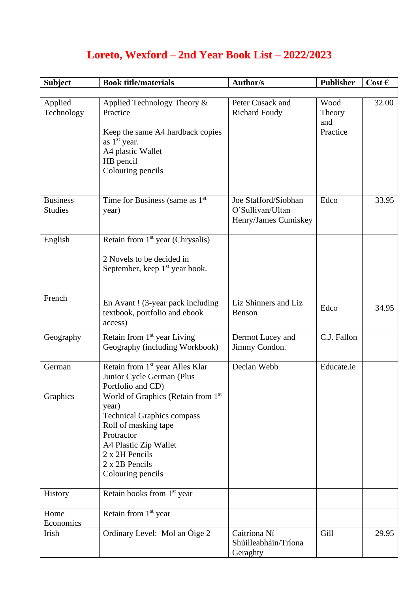## **Loreto, Wexford – 2nd Year Book List – 2022/2023**

| <b>Subject</b>                    | <b>Book title/materials</b>                                                                                                                                                                                          | <b>Author/s</b>                                                  | <b>Publisher</b>                  | Cost $\epsilon$ |
|-----------------------------------|----------------------------------------------------------------------------------------------------------------------------------------------------------------------------------------------------------------------|------------------------------------------------------------------|-----------------------------------|-----------------|
| Applied<br>Technology             | Applied Technology Theory &<br>Practice<br>Keep the same A4 hardback copies<br>as 1 <sup>st</sup> year.<br>A4 plastic Wallet<br>HB pencil<br>Colouring pencils                                                       | Peter Cusack and<br><b>Richard Foudy</b>                         | Wood<br>Theory<br>and<br>Practice | 32.00           |
| <b>Business</b><br><b>Studies</b> | Time for Business (same as $1st$<br>year)                                                                                                                                                                            | Joe Stafford/Siobhan<br>O'Sullivan/Ultan<br>Henry/James Cumiskey | Edco                              | 33.95           |
| English                           | Retain from $1st$ year (Chrysalis)<br>2 Novels to be decided in<br>September, keep 1 <sup>st</sup> year book.                                                                                                        |                                                                  |                                   |                 |
| French                            | En Avant! (3-year pack including<br>textbook, portfolio and ebook<br>access)                                                                                                                                         | Liz Shinners and Liz<br>Benson                                   | Edco                              | 34.95           |
| Geography                         | Retain from 1 <sup>st</sup> year Living<br>Geography (including Workbook)                                                                                                                                            | Dermot Lucey and<br>Jimmy Condon.                                | C.J. Fallon                       |                 |
| German                            | Retain from 1 <sup>st</sup> year Alles Klar<br>Junior Cycle German (Plus<br>Portfolio and CD)                                                                                                                        | Declan Webb                                                      | Educate.ie                        |                 |
| Graphics                          | World of Graphics (Retain from 1 <sup>st</sup><br>year)<br><b>Technical Graphics compass</b><br>Roll of masking tape<br>Protractor<br>A4 Plastic Zip Wallet<br>2 x 2H Pencils<br>2 x 2B Pencils<br>Colouring pencils |                                                                  |                                   |                 |
| History                           | Retain books from 1 <sup>st</sup> year                                                                                                                                                                               |                                                                  |                                   |                 |
| Home<br>Economics                 | Retain from 1 <sup>st</sup> year                                                                                                                                                                                     |                                                                  |                                   |                 |
| Irish                             | Ordinary Level: Mol an Óige 2                                                                                                                                                                                        | Caitríona Ní<br>Shúilleabháin/Tríona<br>Geraghty                 | Gill                              | 29.95           |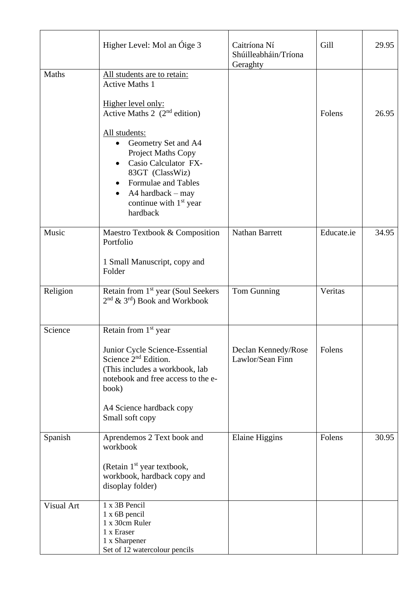|              | Higher Level: Mol an Óige 3                                                                                                                                                                         | Caitríona Ní<br>Shúilleabháin/Tríona<br>Geraghty | Gill       | 29.95 |
|--------------|-----------------------------------------------------------------------------------------------------------------------------------------------------------------------------------------------------|--------------------------------------------------|------------|-------|
| <b>Maths</b> | All students are to retain:<br><b>Active Maths 1</b>                                                                                                                                                |                                                  |            |       |
|              | Higher level only:<br>Active Maths 2 $(2nd$ edition)                                                                                                                                                |                                                  | Folens     | 26.95 |
|              | All students:<br>Geometry Set and A4<br>٠<br>Project Maths Copy<br>Casio Calculator FX-<br>83GT (ClassWiz)<br>Formulae and Tables<br>A4 hardback - may<br>٠<br>continue with $1st$ year<br>hardback |                                                  |            |       |
| Music        | Maestro Textbook & Composition<br>Portfolio<br>1 Small Manuscript, copy and                                                                                                                         | <b>Nathan Barrett</b>                            | Educate.ie | 34.95 |
|              | Folder                                                                                                                                                                                              |                                                  |            |       |
| Religion     | Retain from 1 <sup>st</sup> year (Soul Seekers<br>$2nd$ & $3rd$ ) Book and Workbook                                                                                                                 | Tom Gunning                                      | Veritas    |       |
| Science      | Retain from 1 <sup>st</sup> year                                                                                                                                                                    |                                                  |            |       |
|              | Junior Cycle Science-Essential<br>Science 2 <sup>nd</sup> Edition.<br>(This includes a workbook, lab<br>notebook and free access to the e-<br>book)<br>A4 Science hardback copy                     | Declan Kennedy/Rose<br>Lawlor/Sean Finn          | Folens     |       |
|              | Small soft copy                                                                                                                                                                                     |                                                  |            |       |
| Spanish      | Aprendemos 2 Text book and<br>workbook                                                                                                                                                              | <b>Elaine Higgins</b>                            | Folens     | 30.95 |
|              | (Retain 1 <sup>st</sup> year textbook,<br>workbook, hardback copy and<br>disoplay folder)                                                                                                           |                                                  |            |       |
| Visual Art   | 1 x 3B Pencil<br>$1 x 6B$ pencil<br>1 x 30cm Ruler<br>1 x Eraser<br>1 x Sharpener<br>Set of 12 watercolour pencils                                                                                  |                                                  |            |       |